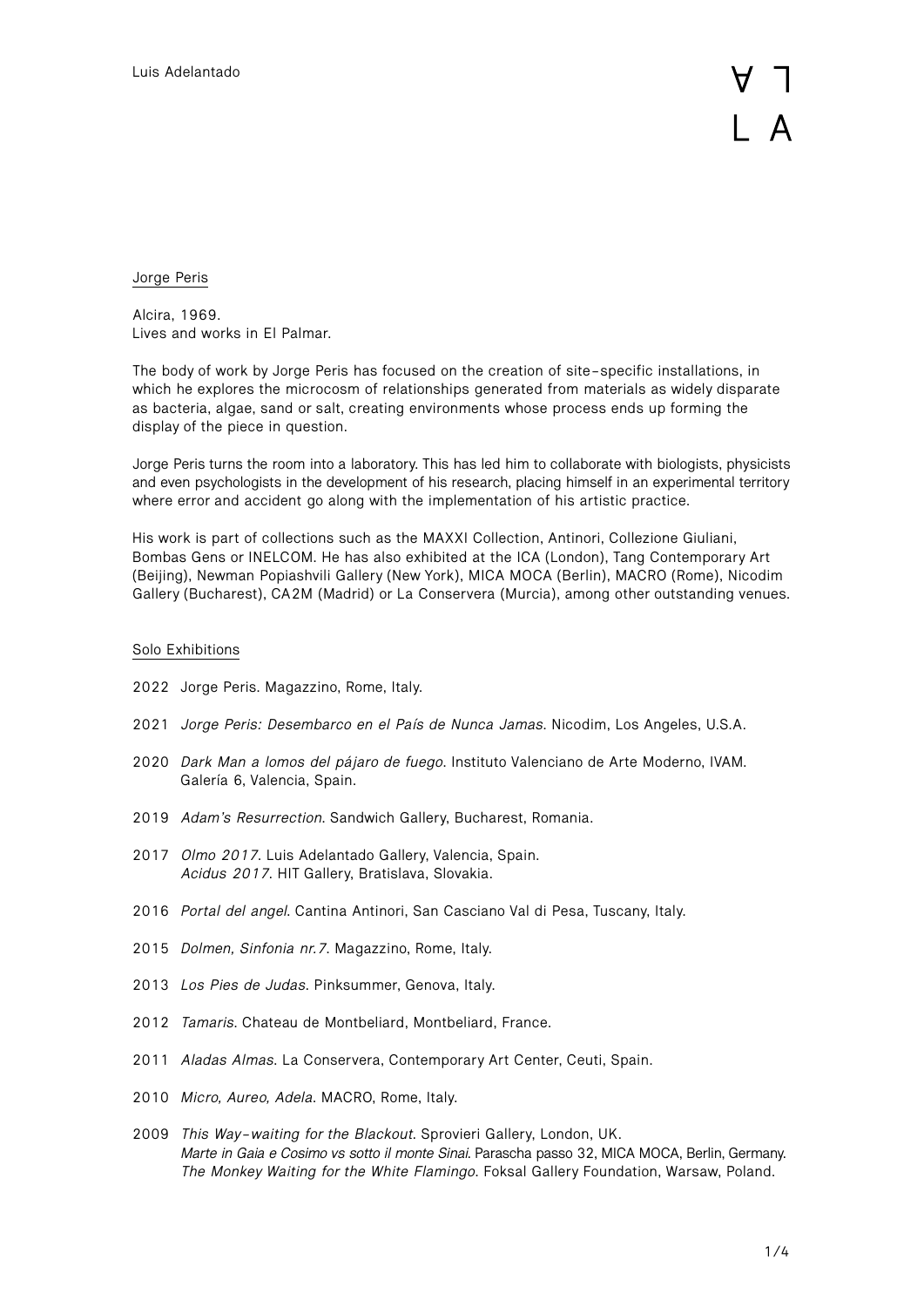Jorge Peris

Alcira, 1969. Lives and works in El Palmar.

The body of work by Jorge Peris has focused on the creation of site-specific installations, in which he explores the microcosm of relationships generated from materials as widely disparate as bacteria, algae, sand or salt, creating environments whose process ends up forming the display of the piece in question.

Jorge Peris turns the room into a laboratory. This has led him to collaborate with biologists, physicists and even psychologists in the development of his research, placing himself in an experimental territory where error and accident go along with the implementation of his artistic practice.

His work is part of collections such as the MAXXI Collection, Antinori, Collezione Giuliani, Bombas Gens or INELCOM. He has also exhibited at the ICA (London), Tang Contemporary Art (Beijing), Newman Popiashvili Gallery (New York), MICA MOCA (Berlin), MACRO (Rome), Nicodim Gallery (Bucharest), CA2M (Madrid) or La Conservera (Murcia), among other outstanding venues.

## Solo Exhibitions

- 2022 Jorge Peris. Magazzino, Rome, Italy.
- 2021 *Jorge Peris: Desembarco en el País de Nunca Jamas*. Nicodim, Los Angeles, U.S.A.
- 2020 *Dark Man a lomos del pájaro de fuego*. Instituto Valenciano de Arte Moderno, IVAM. Galería 6, Valencia, Spain.
- 2019 *Adam's Resurrection*. Sandwich Gallery, Bucharest, Romania.
- 2017 *Olmo 2017*. Luis Adelantado Gallery, Valencia, Spain. *Acidus 2017*. HIT Gallery, Bratislava, Slovakia.
- 2016 *Portal del angel*. Cantina Antinori, San Casciano Val di Pesa, Tuscany, Italy.
- 2015 *Dolmen, Sinfonia nr.7*. Magazzino, Rome, Italy.
- 2013 *Los Pies de Judas*. Pinksummer, Genova, Italy.
- 2012 *Tamaris*. Chateau de Montbeliard, Montbeliard, France.
- 2011 *Aladas Almas*. La Conservera, Contemporary Art Center, Ceuti, Spain.
- 2010 *Micro, Aureo, Adela*. MACRO, Rome, Italy.
- 2009 *This Way-waiting for the Blackout*. Sprovieri Gallery, London, UK. *Marte in Gaia e Cosimo vs sotto il monte Sinai*. Parascha passo 32, MICA MOCA, Berlin, Germany. *The Monkey Waiting for the White Flamingo*. Foksal Gallery Foundation, Warsaw, Poland.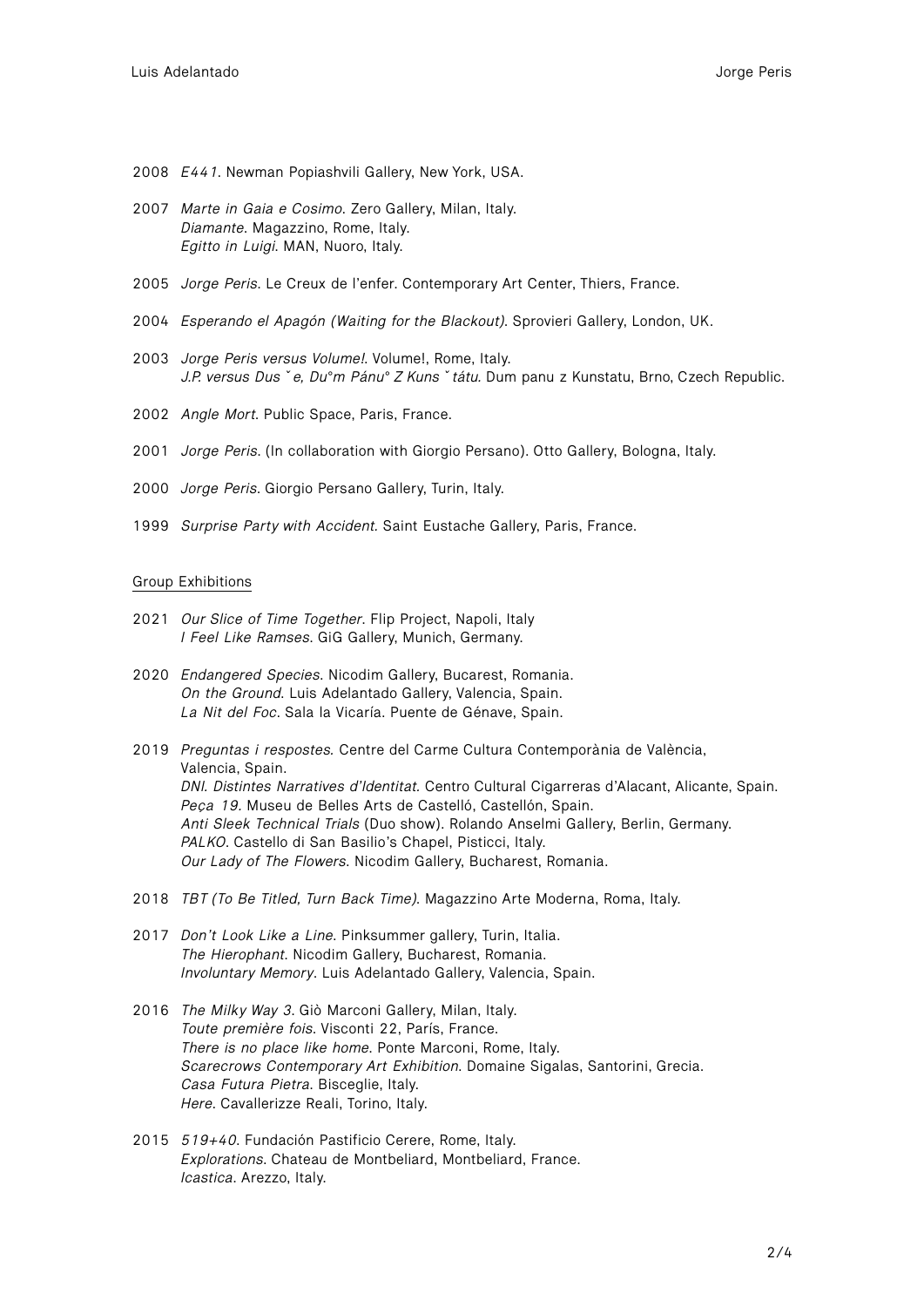- 2008 *E441*. Newman Popiashvili Gallery, New York, USA.
- 2007 *Marte in Gaia e Cosimo*. Zero Gallery, Milan, Italy. *Diamante*. Magazzino, Rome, Italy. *Egitto in Luigi*. MAN, Nuoro, Italy.
- 2005 *Jorge Peris*. Le Creux de l'enfer. Contemporary Art Center, Thiers, France.
- 2004 *Esperando el Apagón (Waiting for the Blackout)*. Sprovieri Gallery, London, UK.
- 2003 *Jorge Peris versus Volume!*. Volume!, Rome, Italy. *J.P. versus Dusˇe, Du°m Pánu° Z Kunsˇtátu.* Dum panu z Kunstatu, Brno, Czech Republic.
- 2002 *Angle Mort*. Public Space, Paris, France.
- 2001 *Jorge Peris*. (In collaboration with Giorgio Persano). Otto Gallery, Bologna, Italy.
- 2000 *Jorge Peris*. Giorgio Persano Gallery, Turin, Italy.
- 1999 *Surprise Party with Accident.* Saint Eustache Gallery, Paris, France.

## Group Exhibitions

- 2021 *Our Slice of Time Together*. Flip Project, Napoli, Italy *I Feel Like Ramses*. GiG Gallery, Munich, Germany.
- 2020 *Endangered Species*. Nicodim Gallery, Bucarest, Romania. *On the Ground*. Luis Adelantado Gallery, Valencia, Spain. *La Nit del Foc*. Sala la Vicaría. Puente de Génave, Spain.
- 2019 *Preguntas i respostes.* Centre del Carme Cultura Contemporània de València, Valencia, Spain. *DNI. Distintes Narratives d'Identitat.* Centro Cultural Cigarreras d'Alacant, Alicante, Spain. *Peça 19.* Museu de Belles Arts de Castelló, Castellón, Spain. *Anti Sleek Technical Trials* (Duo show). Rolando Anselmi Gallery, Berlin, Germany. *PALKO*. Castello di San Basilio's Chapel, Pisticci, Italy. *Our Lady of The Flowers*. Nicodim Gallery, Bucharest, Romania.
- 2018 *TBT (To Be Titled, Turn Back Time)*. Magazzino Arte Moderna, Roma, Italy.
- 2017 *Don't Look Like a Line*. Pinksummer gallery, Turin, Italia. *The Hierophant*. Nicodim Gallery, Bucharest, Romania. *Involuntary Memory*. Luis Adelantado Gallery, Valencia, Spain.
- 2016 *The Milky Way 3*. Giò Marconi Gallery, Milan, Italy. *Toute première fois*. Visconti 22, París, France. *There is no place like home*. Ponte Marconi, Rome, Italy. *Scarecrows Contemporary Art Exhibition*. Domaine Sigalas, Santorini, Grecia. *Casa Futura Pietra*. Bisceglie, Italy. *Here*. Cavallerizze Reali, Torino, Italy.
- 2015 *519+40*. Fundación Pastificio Cerere, Rome, Italy. *Explorations*. Chateau de Montbeliard, Montbeliard, France. *Icastica*. Arezzo, Italy.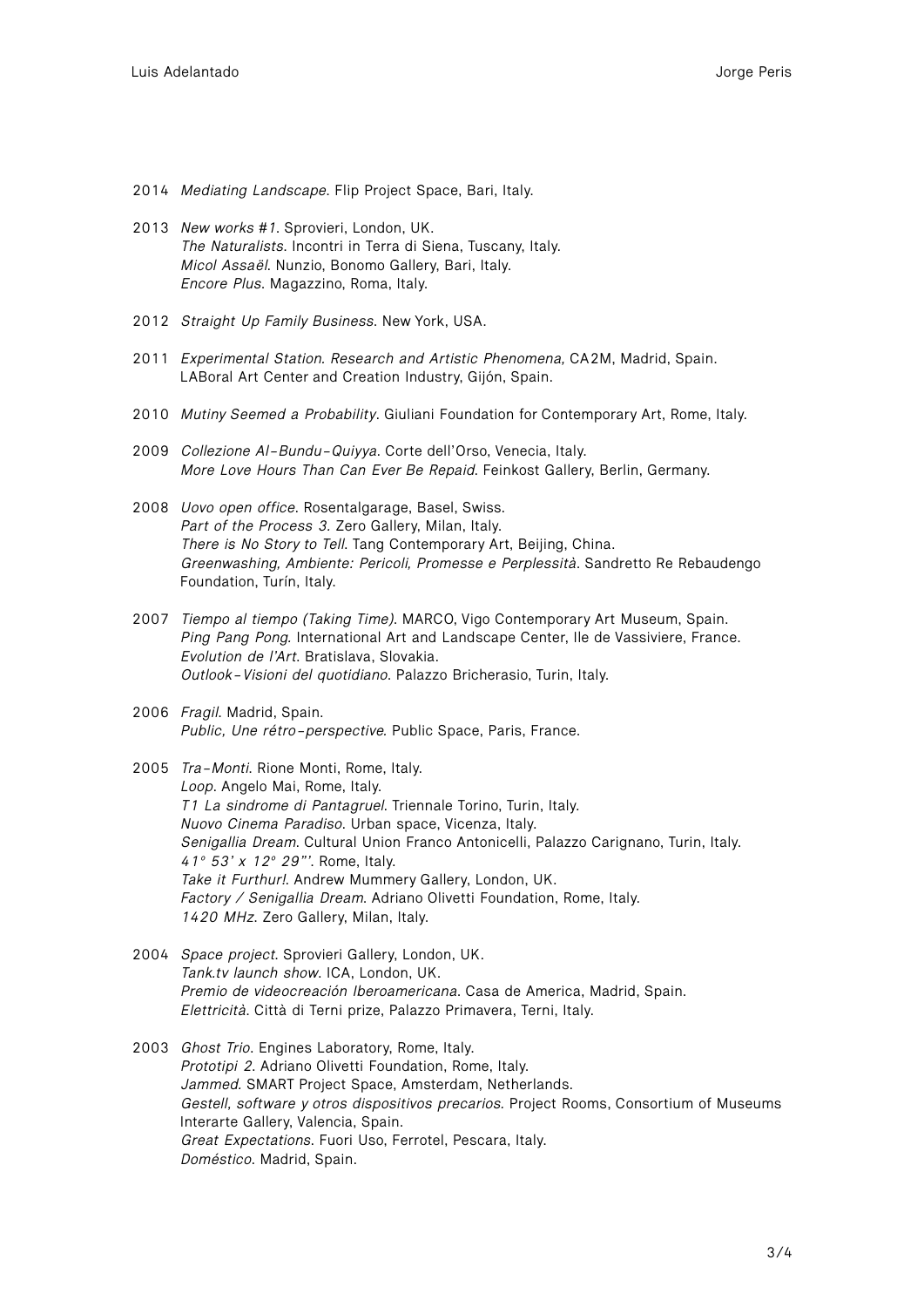- 2014 *Mediating Landscape*. Flip Project Space, Bari, Italy.
- 2013 *New works #1*. Sprovieri, London, UK. *The Naturalists*. Incontri in Terra di Siena, Tuscany, Italy. *Micol Assaël*. Nunzio, Bonomo Gallery, Bari, Italy. *Encore Plus*. Magazzino, Roma, Italy.
- 2012 *Straight Up Family Business*. New York, USA.
- 2011 *Experimental Station. Research and Artistic Phenomena,* CA2M, Madrid, Spain. LABoral Art Center and Creation Industry, Gijón, Spain.
- 2010 *Mutiny Seemed a Probability*. Giuliani Foundation for Contemporary Art, Rome, Italy.
- 2009 *Collezione Al-Bundu-Quiyya*. Corte dell'Orso, Venecia, Italy. *More Love Hours Than Can Ever Be Repaid*. Feinkost Gallery, Berlin, Germany.
- 2008 *Uovo open office*. Rosentalgarage, Basel, Swiss. *Part of the Process 3.* Zero Gallery, Milan, Italy. *There is No Story to Tell*. Tang Contemporary Art, Beijing, China. *Greenwashing, Ambiente: Pericoli, Promesse e Perplessità*. Sandretto Re Rebaudengo Foundation, Turín, Italy.
- 2007 *Tiempo al tiempo (Taking Time)*. MARCO, Vigo Contemporary Art Museum, Spain. *Ping Pang Pong.* International Art and Landscape Center, Ile de Vassiviere, France. *Evolution de l'Art*. Bratislava, Slovakia. *Outlook-Visioni del quotidiano*. Palazzo Bricherasio, Turin, Italy.
- 2006 *Fragil*. Madrid, Spain. *Public, Une rétro-perspective.* Public Space, Paris, France.
- 2005 *Tra-Monti*. Rione Monti, Rome, Italy. *Loop*. Angelo Mai, Rome, Italy. *T1 La sindrome di Pantagruel*. Triennale Torino, Turin, Italy. *Nuovo Cinema Paradiso*. Urban space, Vicenza, Italy. *Senigallia Dream*. Cultural Union Franco Antonicelli, Palazzo Carignano, Turin, Italy. *41º 53' x 12º 29"'*. Rome, Italy. *Take it Furthur!*. Andrew Mummery Gallery, London, UK. *Factory / Senigallia Dream*. Adriano Olivetti Foundation, Rome, Italy. *1420 MHz*. Zero Gallery, Milan, Italy.
- 2004 *Space project*. Sprovieri Gallery, London, UK. *Tank.tv launch show*. ICA, London, UK. *Premio de videocreación Iberoamericana*. Casa de America, Madrid, Spain. *Elettricità*. Città di Terni prize, Palazzo Primavera, Terni, Italy.
- 2003 *Ghost Trio*. Engines Laboratory, Rome, Italy. *Prototipi 2*. Adriano Olivetti Foundation, Rome, Italy. *Jammed.* SMART Project Space, Amsterdam, Netherlands. *Gestell, software y otros dispositivos precarios.* Project Rooms, Consortium of Museums Interarte Gallery, Valencia, Spain. *Great Expectations*. Fuori Uso, Ferrotel, Pescara, Italy. *Doméstico*. Madrid, Spain.